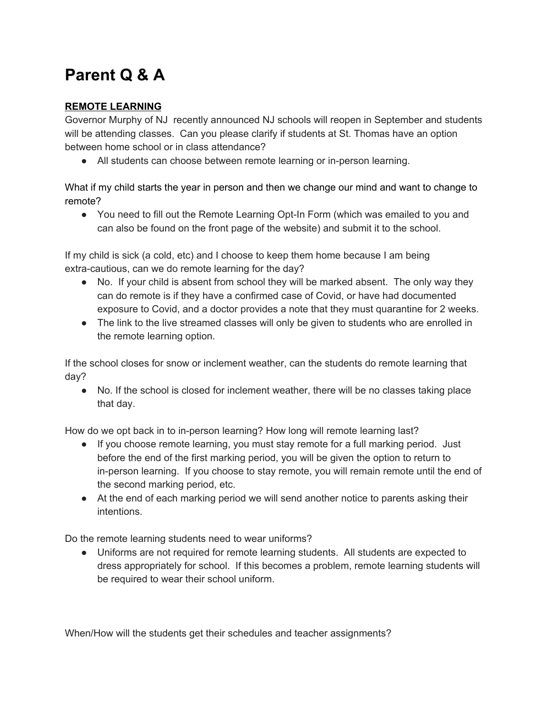# **Parent Q & A**

## **REMOTE LEARNING**

Governor Murphy of NJ recently announced NJ schools will reopen in September and students will be attending classes. Can you please clarify if students at St. Thomas have an option between home school or in class attendance?

● All students can choose between remote learning or in-person learning.

What if my child starts the year in person and then we change our mind and want to change to remote?

• You need to fill out the Remote Learning Opt-In Form (which was emailed to you and can also be found on the front page of the website) and submit it to the school.

If my child is sick (a cold, etc) and I choose to keep them home because I am being extra-cautious, can we do remote learning for the day?

- No. If your child is absent from school they will be marked absent. The only way they can do remote is if they have a confirmed case of Covid, or have had documented exposure to Covid, and a doctor provides a note that they must quarantine for 2 weeks.
- The link to the live streamed classes will only be given to students who are enrolled in the remote learning option.

If the school closes for snow or inclement weather, can the students do remote learning that day?

● No. If the school is closed for inclement weather, there will be no classes taking place that day.

How do we opt back in to in-person learning? How long will remote learning last?

- If you choose remote learning, you must stay remote for a full marking period. Just before the end of the first marking period, you will be given the option to return to in-person learning. If you choose to stay remote, you will remain remote until the end of the second marking period, etc.
- At the end of each marking period we will send another notice to parents asking their intentions.

Do the remote learning students need to wear uniforms?

● Uniforms are not required for remote learning students. All students are expected to dress appropriately for school. If this becomes a problem, remote learning students will be required to wear their school uniform.

When/How will the students get their schedules and teacher assignments?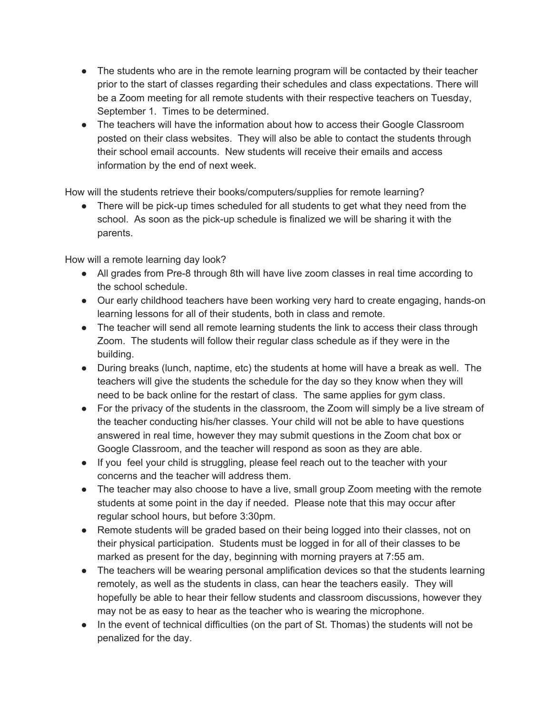- The students who are in the remote learning program will be contacted by their teacher prior to the start of classes regarding their schedules and class expectations. There will be a Zoom meeting for all remote students with their respective teachers on Tuesday, September 1. Times to be determined.
- The teachers will have the information about how to access their Google Classroom posted on their class websites. They will also be able to contact the students through their school email accounts. New students will receive their emails and access information by the end of next week.

How will the students retrieve their books/computers/supplies for remote learning?

• There will be pick-up times scheduled for all students to get what they need from the school. As soon as the pick-up schedule is finalized we will be sharing it with the parents.

How will a remote learning day look?

- All grades from Pre-8 through 8th will have live zoom classes in real time according to the school schedule.
- Our early childhood teachers have been working very hard to create engaging, hands-on learning lessons for all of their students, both in class and remote.
- The teacher will send all remote learning students the link to access their class through Zoom. The students will follow their regular class schedule as if they were in the building.
- During breaks (lunch, naptime, etc) the students at home will have a break as well. The teachers will give the students the schedule for the day so they know when they will need to be back online for the restart of class. The same applies for gym class.
- For the privacy of the students in the classroom, the Zoom will simply be a live stream of the teacher conducting his/her classes. Your child will not be able to have questions answered in real time, however they may submit questions in the Zoom chat box or Google Classroom, and the teacher will respond as soon as they are able.
- If you feel your child is struggling, please feel reach out to the teacher with your concerns and the teacher will address them.
- The teacher may also choose to have a live, small group Zoom meeting with the remote students at some point in the day if needed. Please note that this may occur after regular school hours, but before 3:30pm.
- Remote students will be graded based on their being logged into their classes, not on their physical participation. Students must be logged in for all of their classes to be marked as present for the day, beginning with morning prayers at 7:55 am.
- The teachers will be wearing personal amplification devices so that the students learning remotely, as well as the students in class, can hear the teachers easily. They will hopefully be able to hear their fellow students and classroom discussions, however they may not be as easy to hear as the teacher who is wearing the microphone.
- In the event of technical difficulties (on the part of St. Thomas) the students will not be penalized for the day.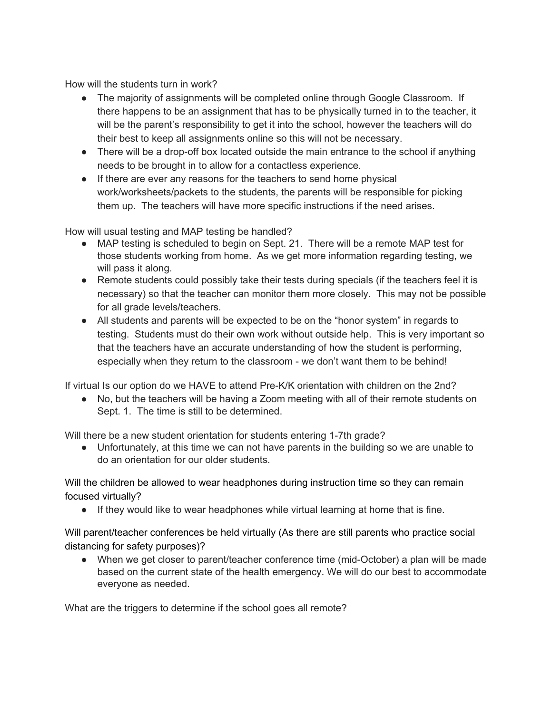How will the students turn in work?

- The majority of assignments will be completed online through Google Classroom. If there happens to be an assignment that has to be physically turned in to the teacher, it will be the parent's responsibility to get it into the school, however the teachers will do their best to keep all assignments online so this will not be necessary.
- There will be a drop-off box located outside the main entrance to the school if anything needs to be brought in to allow for a contactless experience.
- If there are ever any reasons for the teachers to send home physical work/worksheets/packets to the students, the parents will be responsible for picking them up. The teachers will have more specific instructions if the need arises.

How will usual testing and MAP testing be handled?

- MAP testing is scheduled to begin on Sept. 21. There will be a remote MAP test for those students working from home. As we get more information regarding testing, we will pass it along.
- Remote students could possibly take their tests during specials (if the teachers feel it is necessary) so that the teacher can monitor them more closely. This may not be possible for all grade levels/teachers.
- All students and parents will be expected to be on the "honor system" in regards to testing. Students must do their own work without outside help. This is very important so that the teachers have an accurate understanding of how the student is performing, especially when they return to the classroom - we don't want them to be behind!

If virtual Is our option do we HAVE to attend Pre-K/K orientation with children on the 2nd?

● No, but the teachers will be having a Zoom meeting with all of their remote students on Sept. 1. The time is still to be determined.

Will there be a new student orientation for students entering 1-7th grade?

● Unfortunately, at this time we can not have parents in the building so we are unable to do an orientation for our older students.

Will the children be allowed to wear headphones during instruction time so they can remain focused virtually?

● If they would like to wear headphones while virtual learning at home that is fine.

Will parent/teacher conferences be held virtually (As there are still parents who practice social distancing for safety purposes)?

● When we get closer to parent/teacher conference time (mid-October) a plan will be made based on the current state of the health emergency. We will do our best to accommodate everyone as needed.

What are the triggers to determine if the school goes all remote?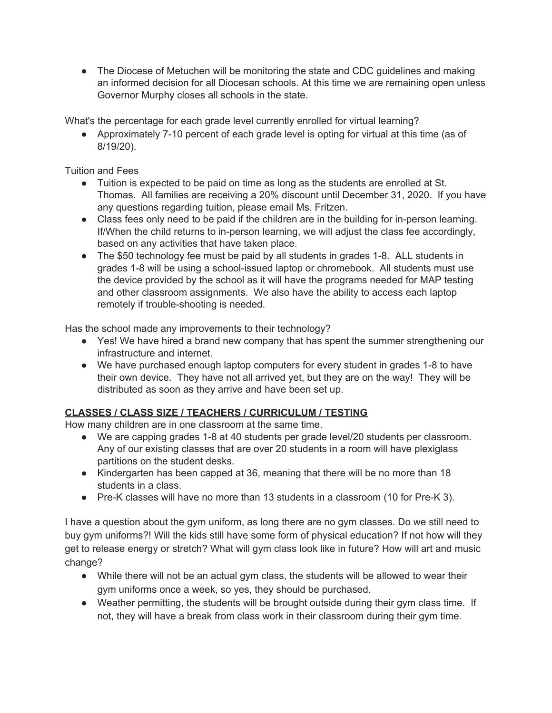• The Diocese of Metuchen will be monitoring the state and CDC quidelines and making an informed decision for all Diocesan schools. At this time we are remaining open unless Governor Murphy closes all schools in the state.

What's the percentage for each grade level currently enrolled for virtual learning?

● Approximately 7-10 percent of each grade level is opting for virtual at this time (as of 8/19/20).

Tuition and Fees

- Tuition is expected to be paid on time as long as the students are enrolled at St. Thomas. All families are receiving a 20% discount until December 31, 2020. If you have any questions regarding tuition, please email Ms. Fritzen.
- Class fees only need to be paid if the children are in the building for in-person learning. If/When the child returns to in-person learning, we will adjust the class fee accordingly, based on any activities that have taken place.
- The \$50 technology fee must be paid by all students in grades 1-8. ALL students in grades 1-8 will be using a school-issued laptop or chromebook. All students must use the device provided by the school as it will have the programs needed for MAP testing and other classroom assignments. We also have the ability to access each laptop remotely if trouble-shooting is needed.

Has the school made any improvements to their technology?

- Yes! We have hired a brand new company that has spent the summer strengthening our infrastructure and internet.
- We have purchased enough laptop computers for every student in grades 1-8 to have their own device. They have not all arrived yet, but they are on the way! They will be distributed as soon as they arrive and have been set up.

# **CLASSES / CLASS SIZE / TEACHERS / CURRICULUM / TESTING**

How many children are in one classroom at the same time.

- We are capping grades 1-8 at 40 students per grade level/20 students per classroom. Any of our existing classes that are over 20 students in a room will have plexiglass partitions on the student desks.
- Kindergarten has been capped at 36, meaning that there will be no more than 18 students in a class.
- Pre-K classes will have no more than 13 students in a classroom (10 for Pre-K 3).

I have a question about the gym uniform, as long there are no gym classes. Do we still need to buy gym uniforms?! Will the kids still have some form of physical education? If not how will they get to release energy or stretch? What will gym class look like in future? How will art and music change?

- While there will not be an actual gym class, the students will be allowed to wear their gym uniforms once a week, so yes, they should be purchased.
- Weather permitting, the students will be brought outside during their gym class time. If not, they will have a break from class work in their classroom during their gym time.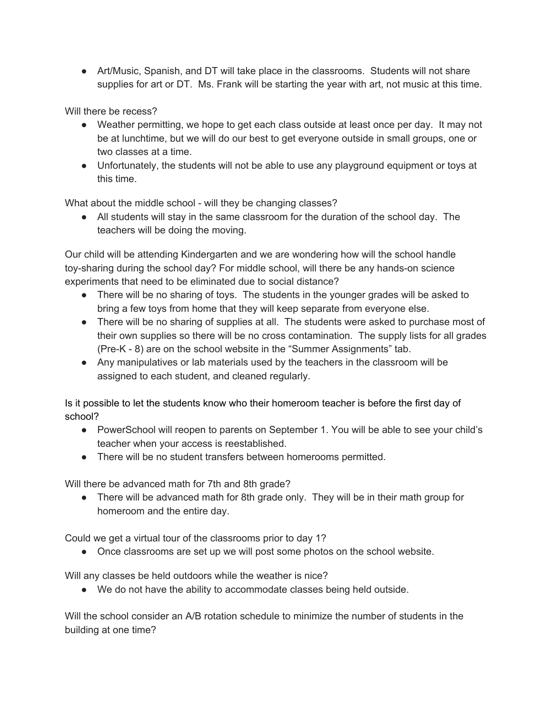• Art/Music, Spanish, and DT will take place in the classrooms. Students will not share supplies for art or DT. Ms. Frank will be starting the year with art, not music at this time.

Will there be recess?

- Weather permitting, we hope to get each class outside at least once per day. It may not be at lunchtime, but we will do our best to get everyone outside in small groups, one or two classes at a time.
- Unfortunately, the students will not be able to use any playground equipment or toys at this time.

What about the middle school - will they be changing classes?

• All students will stay in the same classroom for the duration of the school day. The teachers will be doing the moving.

Our child will be attending Kindergarten and we are wondering how will the school handle toy-sharing during the school day? For middle school, will there be any hands-on science experiments that need to be eliminated due to social distance?

- There will be no sharing of toys. The students in the younger grades will be asked to bring a few toys from home that they will keep separate from everyone else.
- There will be no sharing of supplies at all. The students were asked to purchase most of their own supplies so there will be no cross contamination. The supply lists for all grades (Pre-K - 8) are on the school website in the "Summer Assignments" tab.
- Any manipulatives or lab materials used by the teachers in the classroom will be assigned to each student, and cleaned regularly.

Is it possible to let the students know who their homeroom teacher is before the first day of school?

- PowerSchool will reopen to parents on September 1. You will be able to see your child's teacher when your access is reestablished.
- There will be no student transfers between homerooms permitted.

Will there be advanced math for 7th and 8th grade?

• There will be advanced math for 8th grade only. They will be in their math group for homeroom and the entire day.

Could we get a virtual tour of the classrooms prior to day 1?

• Once classrooms are set up we will post some photos on the school website.

Will any classes be held outdoors while the weather is nice?

● We do not have the ability to accommodate classes being held outside.

Will the school consider an A/B rotation schedule to minimize the number of students in the building at one time?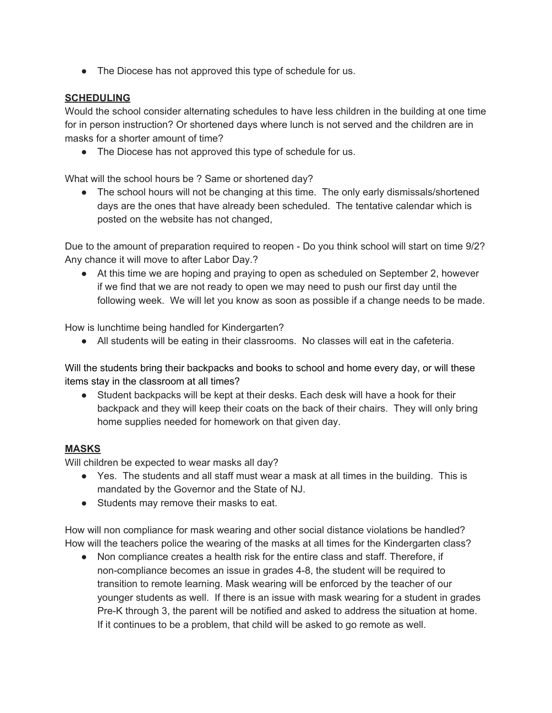• The Diocese has not approved this type of schedule for us.

#### **SCHEDULING**

Would the school consider alternating schedules to have less children in the building at one time for in person instruction? Or shortened days where lunch is not served and the children are in masks for a shorter amount of time?

• The Diocese has not approved this type of schedule for us.

What will the school hours be ? Same or shortened day?

• The school hours will not be changing at this time. The only early dismissals/shortened days are the ones that have already been scheduled. The tentative calendar which is posted on the website has not changed,

Due to the amount of preparation required to reopen - Do you think school will start on time 9/2? Any chance it will move to after Labor Day.?

● At this time we are hoping and praying to open as scheduled on September 2, however if we find that we are not ready to open we may need to push our first day until the following week. We will let you know as soon as possible if a change needs to be made.

How is lunchtime being handled for Kindergarten?

● All students will be eating in their classrooms. No classes will eat in the cafeteria.

Will the students bring their backpacks and books to school and home every day, or will these items stay in the classroom at all times?

● Student backpacks will be kept at their desks. Each desk will have a hook for their backpack and they will keep their coats on the back of their chairs. They will only bring home supplies needed for homework on that given day.

## **MASKS**

Will children be expected to wear masks all day?

- Yes. The students and all staff must wear a mask at all times in the building. This is mandated by the Governor and the State of NJ.
- Students may remove their masks to eat.

How will non compliance for mask wearing and other social distance violations be handled? How will the teachers police the wearing of the masks at all times for the Kindergarten class?

● Non compliance creates a health risk for the entire class and staff. Therefore, if non-compliance becomes an issue in grades 4-8, the student will be required to transition to remote learning. Mask wearing will be enforced by the teacher of our younger students as well. If there is an issue with mask wearing for a student in grades Pre-K through 3, the parent will be notified and asked to address the situation at home. If it continues to be a problem, that child will be asked to go remote as well.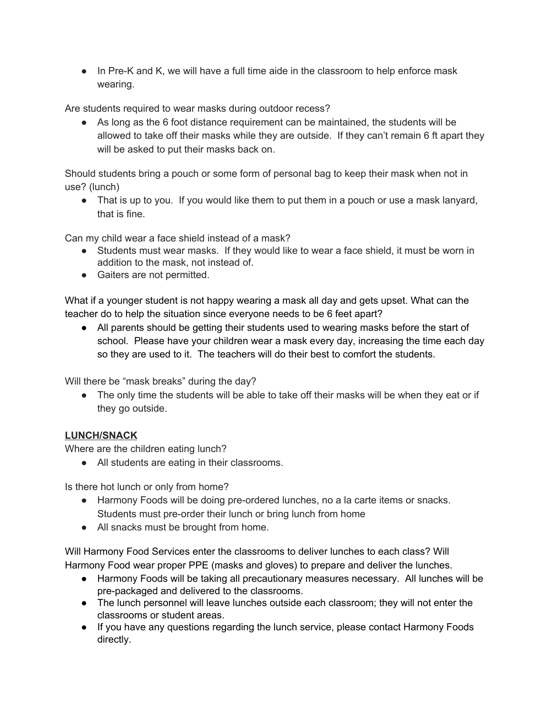● In Pre-K and K, we will have a full time aide in the classroom to help enforce mask wearing.

Are students required to wear masks during outdoor recess?

● As long as the 6 foot distance requirement can be maintained, the students will be allowed to take off their masks while they are outside. If they can't remain 6 ft apart they will be asked to put their masks back on.

Should students bring a pouch or some form of personal bag to keep their mask when not in use? (lunch)

• That is up to you. If you would like them to put them in a pouch or use a mask lanyard, that is fine.

Can my child wear a face shield instead of a mask?

- Students must wear masks. If they would like to wear a face shield, it must be worn in addition to the mask, not instead of.
- Gaiters are not permitted.

What if a younger student is not happy wearing a mask all day and gets upset. What can the teacher do to help the situation since everyone needs to be 6 feet apart?

● All parents should be getting their students used to wearing masks before the start of school. Please have your children wear a mask every day, increasing the time each day so they are used to it. The teachers will do their best to comfort the students.

Will there be "mask breaks" during the day?

• The only time the students will be able to take off their masks will be when they eat or if they go outside.

# **LUNCH/SNACK**

Where are the children eating lunch?

• All students are eating in their classrooms.

Is there hot lunch or only from home?

- Harmony Foods will be doing pre-ordered lunches, no a la carte items or snacks. Students must pre-order their lunch or bring lunch from home
- All snacks must be brought from home.

Will Harmony Food Services enter the classrooms to deliver lunches to each class? Will Harmony Food wear proper PPE (masks and gloves) to prepare and deliver the lunches.

- Harmony Foods will be taking all precautionary measures necessary. All lunches will be pre-packaged and delivered to the classrooms.
- The lunch personnel will leave lunches outside each classroom; they will not enter the classrooms or student areas.
- If you have any questions regarding the lunch service, please contact Harmony Foods directly.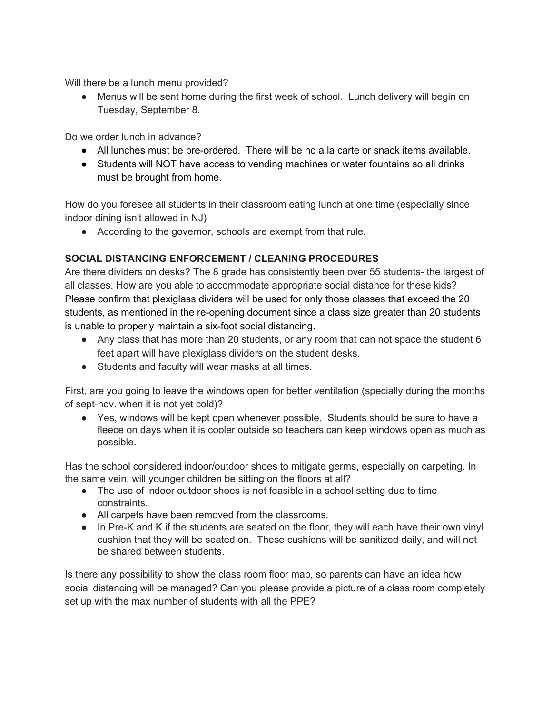Will there be a lunch menu provided?

• Menus will be sent home during the first week of school. Lunch delivery will begin on Tuesday, September 8.

Do we order lunch in advance?

- All lunches must be pre-ordered. There will be no a la carte or snack items available.
- Students will NOT have access to vending machines or water fountains so all drinks must be brought from home.

How do you foresee all students in their classroom eating lunch at one time (especially since indoor dining isn't allowed in NJ)

● According to the governor, schools are exempt from that rule.

## **SOCIAL DISTANCING ENFORCEMENT / CLEANING PROCEDURES**

Are there dividers on desks? The 8 grade has consistently been over 55 students- the largest of all classes. How are you able to accommodate appropriate social distance for these kids? Please confirm that plexiglass dividers will be used for only those classes that exceed the 20 students, as mentioned in the re-opening document since a class size greater than 20 students is unable to properly maintain a six-foot social distancing.

- Any class that has more than 20 students, or any room that can not space the student 6 feet apart will have plexiglass dividers on the student desks.
- Students and faculty will wear masks at all times.

First, are you going to leave the windows open for better ventilation (specially during the months of sept-nov. when it is not yet cold)?

● Yes, windows will be kept open whenever possible. Students should be sure to have a fleece on days when it is cooler outside so teachers can keep windows open as much as possible.

Has the school considered indoor/outdoor shoes to mitigate germs, especially on carpeting. In the same vein, will younger children be sitting on the floors at all?

- The use of indoor outdoor shoes is not feasible in a school setting due to time constraints.
- All carpets have been removed from the classrooms.
- In Pre-K and K if the students are seated on the floor, they will each have their own vinyl cushion that they will be seated on. These cushions will be sanitized daily, and will not be shared between students.

Is there any possibility to show the class room floor map, so parents can have an idea how social distancing will be managed? Can you please provide a picture of a class room completely set up with the max number of students with all the PPE?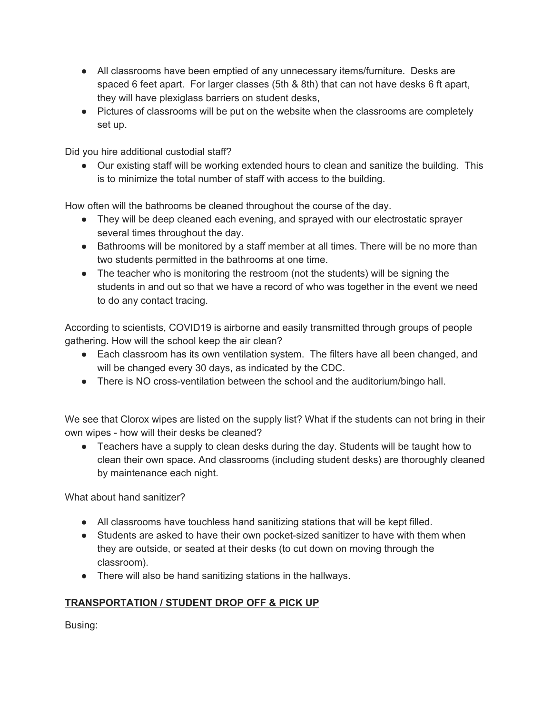- All classrooms have been emptied of any unnecessary items/furniture. Desks are spaced 6 feet apart. For larger classes (5th & 8th) that can not have desks 6 ft apart, they will have plexiglass barriers on student desks,
- Pictures of classrooms will be put on the website when the classrooms are completely set up.

Did you hire additional custodial staff?

● Our existing staff will be working extended hours to clean and sanitize the building. This is to minimize the total number of staff with access to the building.

How often will the bathrooms be cleaned throughout the course of the day.

- They will be deep cleaned each evening, and sprayed with our electrostatic sprayer several times throughout the day.
- Bathrooms will be monitored by a staff member at all times. There will be no more than two students permitted in the bathrooms at one time.
- The teacher who is monitoring the restroom (not the students) will be signing the students in and out so that we have a record of who was together in the event we need to do any contact tracing.

According to scientists, COVID19 is airborne and easily transmitted through groups of people gathering. How will the school keep the air clean?

- Each classroom has its own ventilation system. The filters have all been changed, and will be changed every 30 days, as indicated by the CDC.
- There is NO cross-ventilation between the school and the auditorium/bingo hall.

We see that Clorox wipes are listed on the supply list? What if the students can not bring in their own wipes - how will their desks be cleaned?

● Teachers have a supply to clean desks during the day. Students will be taught how to clean their own space. And classrooms (including student desks) are thoroughly cleaned by maintenance each night.

What about hand sanitizer?

- All classrooms have touchless hand sanitizing stations that will be kept filled.
- Students are asked to have their own pocket-sized sanitizer to have with them when they are outside, or seated at their desks (to cut down on moving through the classroom).
- There will also be hand sanitizing stations in the hallways.

## **TRANSPORTATION / STUDENT DROP OFF & PICK UP**

Busing: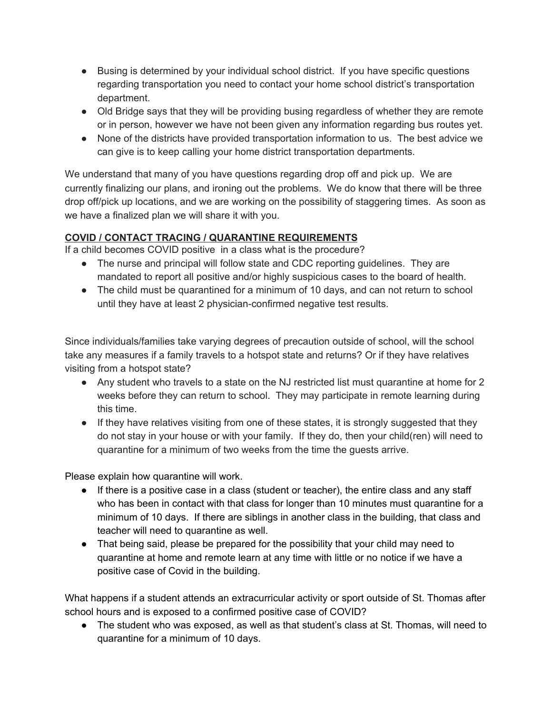- Busing is determined by your individual school district. If you have specific questions regarding transportation you need to contact your home school district's transportation department.
- Old Bridge says that they will be providing busing regardless of whether they are remote or in person, however we have not been given any information regarding bus routes yet.
- None of the districts have provided transportation information to us. The best advice we can give is to keep calling your home district transportation departments.

We understand that many of you have questions regarding drop off and pick up. We are currently finalizing our plans, and ironing out the problems. We do know that there will be three drop off/pick up locations, and we are working on the possibility of staggering times. As soon as we have a finalized plan we will share it with you.

# **COVID / CONTACT TRACING / QUARANTINE REQUIREMENTS**

If a child becomes COVID positive in a class what is the procedure?

- The nurse and principal will follow state and CDC reporting guidelines. They are mandated to report all positive and/or highly suspicious cases to the board of health.
- The child must be quarantined for a minimum of 10 days, and can not return to school until they have at least 2 physician-confirmed negative test results.

Since individuals/families take varying degrees of precaution outside of school, will the school take any measures if a family travels to a hotspot state and returns? Or if they have relatives visiting from a hotspot state?

- Any student who travels to a state on the NJ restricted list must quarantine at home for 2 weeks before they can return to school. They may participate in remote learning during this time.
- If they have relatives visiting from one of these states, it is strongly suggested that they do not stay in your house or with your family. If they do, then your child(ren) will need to quarantine for a minimum of two weeks from the time the guests arrive.

Please explain how quarantine will work.

- If there is a positive case in a class (student or teacher), the entire class and any staff who has been in contact with that class for longer than 10 minutes must quarantine for a minimum of 10 days. If there are siblings in another class in the building, that class and teacher will need to quarantine as well.
- That being said, please be prepared for the possibility that your child may need to quarantine at home and remote learn at any time with little or no notice if we have a positive case of Covid in the building.

What happens if a student attends an extracurricular activity or sport outside of St. Thomas after school hours and is exposed to a confirmed positive case of COVID?

● The student who was exposed, as well as that student's class at St. Thomas, will need to quarantine for a minimum of 10 days.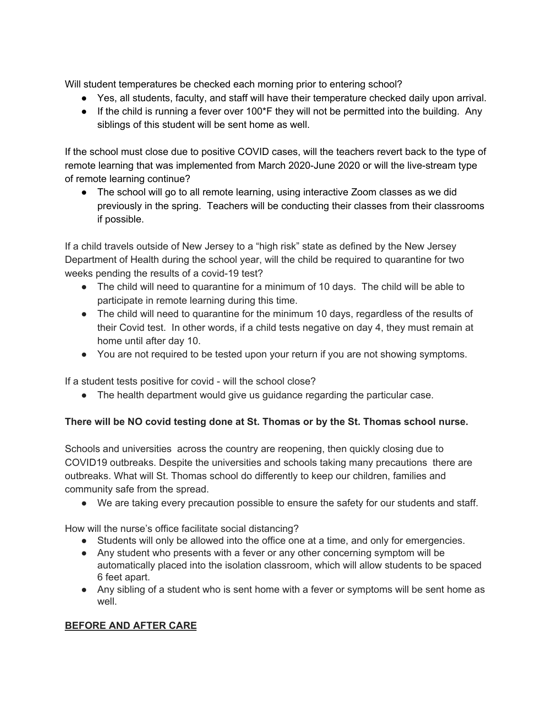Will student temperatures be checked each morning prior to entering school?

- Yes, all students, faculty, and staff will have their temperature checked daily upon arrival.
- $\bullet$  If the child is running a fever over 100<sup>\*</sup>F they will not be permitted into the building. Any siblings of this student will be sent home as well.

If the school must close due to positive COVID cases, will the teachers revert back to the type of remote learning that was implemented from March 2020-June 2020 or will the live-stream type of remote learning continue?

● The school will go to all remote learning, using interactive Zoom classes as we did previously in the spring. Teachers will be conducting their classes from their classrooms if possible.

If a child travels outside of New Jersey to a "high risk" state as defined by the New Jersey Department of Health during the school year, will the child be required to quarantine for two weeks pending the results of a covid-19 test?

- The child will need to quarantine for a minimum of 10 days. The child will be able to participate in remote learning during this time.
- The child will need to quarantine for the minimum 10 days, regardless of the results of their Covid test. In other words, if a child tests negative on day 4, they must remain at home until after day 10.
- You are not required to be tested upon your return if you are not showing symptoms.

If a student tests positive for covid - will the school close?

• The health department would give us guidance regarding the particular case.

# **There will be NO covid testing done at St. Thomas or by the St. Thomas school nurse.**

Schools and universities across the country are reopening, then quickly closing due to COVID19 outbreaks. Despite the universities and schools taking many precautions there are outbreaks. What will St. Thomas school do differently to keep our children, families and community safe from the spread.

● We are taking every precaution possible to ensure the safety for our students and staff.

How will the nurse's office facilitate social distancing?

- Students will only be allowed into the office one at a time, and only for emergencies.
- Any student who presents with a fever or any other concerning symptom will be automatically placed into the isolation classroom, which will allow students to be spaced 6 feet apart.
- Any sibling of a student who is sent home with a fever or symptoms will be sent home as well.

# **BEFORE AND AFTER CARE**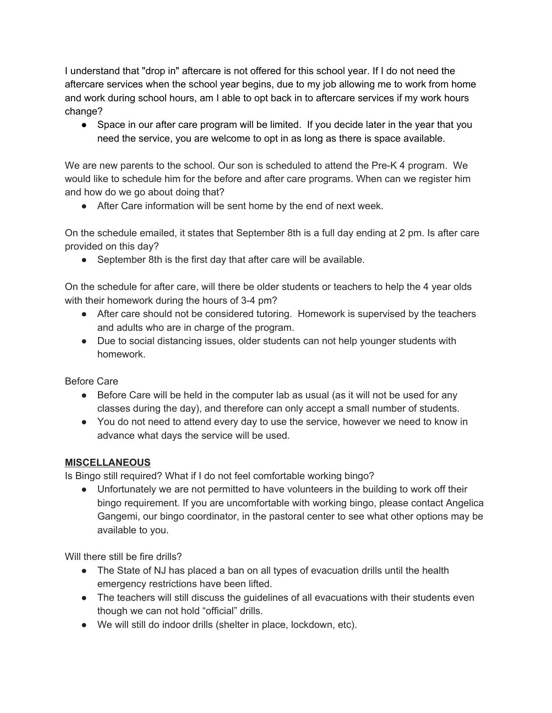I understand that "drop in" aftercare is not offered for this school year. If I do not need the aftercare services when the school year begins, due to my job allowing me to work from home and work during school hours, am I able to opt back in to aftercare services if my work hours change?

• Space in our after care program will be limited. If you decide later in the year that you need the service, you are welcome to opt in as long as there is space available.

We are new parents to the school. Our son is scheduled to attend the Pre-K 4 program. We would like to schedule him for the before and after care programs. When can we register him and how do we go about doing that?

● After Care information will be sent home by the end of next week.

On the schedule emailed, it states that September 8th is a full day ending at 2 pm. Is after care provided on this day?

• September 8th is the first day that after care will be available.

On the schedule for after care, will there be older students or teachers to help the 4 year olds with their homework during the hours of 3-4 pm?

- After care should not be considered tutoring. Homework is supervised by the teachers and adults who are in charge of the program.
- Due to social distancing issues, older students can not help younger students with homework.

Before Care

- Before Care will be held in the computer lab as usual (as it will not be used for any classes during the day), and therefore can only accept a small number of students.
- You do not need to attend every day to use the service, however we need to know in advance what days the service will be used.

## **MISCELLANEOUS**

Is Bingo still required? What if I do not feel comfortable working bingo?

● Unfortunately we are not permitted to have volunteers in the building to work off their bingo requirement. If you are uncomfortable with working bingo, please contact Angelica Gangemi, our bingo coordinator, in the pastoral center to see what other options may be available to you.

Will there still be fire drills?

- The State of NJ has placed a ban on all types of evacuation drills until the health emergency restrictions have been lifted.
- The teachers will still discuss the guidelines of all evacuations with their students even though we can not hold "official" drills.
- We will still do indoor drills (shelter in place, lockdown, etc).